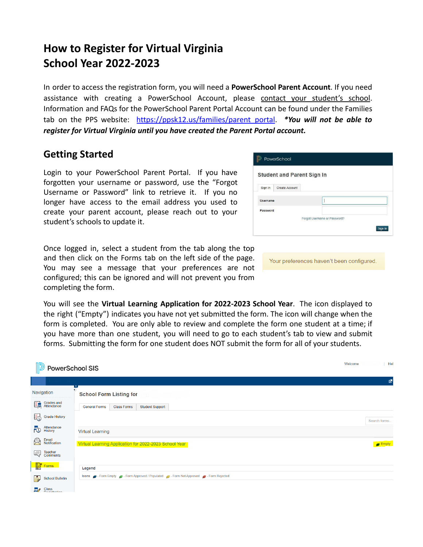# **How to Register for Virtual Virginia School Year 2022-2023**

In order to access the registration form, you will need a **PowerSchool Parent Account**. If you need assistance with creating a PowerSchool Account, please contact your student's school. Information and FAQs for the PowerSchool Parent Portal Account can be found under the Families tab on the PPS website: [https://ppsk12.us/families/parent\\_portal](https://ppsk12.us/families/parent_portal). *\*You will not be able to register for Virtual Virginia until you have created the Parent Portal account.*

#### **Getting Started**

Login to your PowerSchool Parent Portal. If you have forgotten your username or password, use the "Forgot Username or Password" link to retrieve it. If you no longer have access to the email address you used to create your parent account, please reach out to your student's schools to update it.

Once logged in, select a student from the tab along the top and then click on the Forms tab on the left side of the page. You may see a message that your preferences are not configured; this can be ignored and will not prevent you from completing the form.

| PowerSchool                       |                |  |         |  |  |
|-----------------------------------|----------------|--|---------|--|--|
| <b>Student and Parent Sign In</b> |                |  |         |  |  |
| Sign In                           | Create Account |  |         |  |  |
| <b>Username</b>                   |                |  |         |  |  |
| Password                          |                |  |         |  |  |
| Forgot Username or Password?      |                |  |         |  |  |
|                                   |                |  | Sign In |  |  |
|                                   |                |  |         |  |  |

Your preferences haven't been configured.

You will see the **Virtual Learning Application for 2022-2023 School Year**. The icon displayed to the right ("Empty") indicates you have not yet submitted the form. The icon will change when the form is completed. You are only able to review and complete the form one student at a time; if you have more than one student, you will need to go to each student's tab to view and submit forms. Submitting the form for one student does NOT submit the form for all of your students.

| <b>PowerSchool SIS</b>               | Welcome                                                                            | Hel                  |
|--------------------------------------|------------------------------------------------------------------------------------|----------------------|
|                                      |                                                                                    | 國                    |
| Navigation                           | <b>School Form Listing for</b>                                                     |                      |
| Grades and                           | <b>Student Support</b><br><b>General Forms</b><br><b>Class Forms</b>               |                      |
| Grade History                        |                                                                                    | Search forms         |
| Attendance<br>History<br>$E_{\odot}$ | <b>Virtual Learning</b>                                                            |                      |
| Email<br>Notification<br>負           | Virtual Learning Application for 2022-2023 School Year                             | $\blacksquare$ Empty |
| Comments                             |                                                                                    |                      |
| Forms                                | Legend                                                                             |                      |
| İ,<br><b>School Bulletin</b>         | Icons - Form Empty - Form Approved / Populated - Form Not Approved - Form Rejected |                      |
| $\Box$ Class                         |                                                                                    |                      |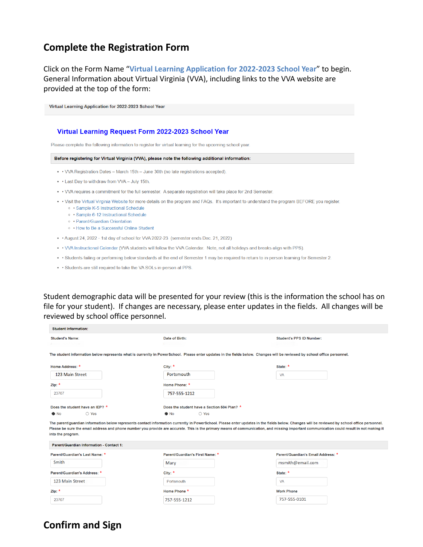### **Complete the Registration Form**

Click on the Form Name "**Virtual Learning Application for 2022-2023 School Year**" to begin. General Information about Virtual Virginia (VVA), including links to the VVA website are provided at the top of the form:

| Virtual Learning Application for 2022-2023 School Year                                                                                                                                                                                                                                                  |  |  |  |  |
|---------------------------------------------------------------------------------------------------------------------------------------------------------------------------------------------------------------------------------------------------------------------------------------------------------|--|--|--|--|
| Virtual Learning Request Form 2022-2023 School Year<br>Please complete the following information to register for virtual learning for the upcoming school year.                                                                                                                                         |  |  |  |  |
| Before registering for Virtual Virginia (VVA), please note the following additional information:                                                                                                                                                                                                        |  |  |  |  |
| • • VVA Registration Dates – March 15th – June 30th (no late registrations accepted).                                                                                                                                                                                                                   |  |  |  |  |
| • Last Day to withdraw from VVA - July 15th.                                                                                                                                                                                                                                                            |  |  |  |  |
| • VVA requires a commitment for the full semester. A separate registration will take place for 2nd Semester.                                                                                                                                                                                            |  |  |  |  |
| . Visit the Virtual Virginia Website for more details on the program and FAQs. It's important to understand the program BEFORE you register.<br>• Sample K-5 Instructional Schedule<br>• Sample 6-12 Instructional Schedule<br>• Parent/Guardian Orientation<br>• How to Be a Successful Online Student |  |  |  |  |
| • August 24, 2022 - 1st day of school for VVA 2022-23 (semester ends Dec. 21, 2022)                                                                                                                                                                                                                     |  |  |  |  |
| • VVA Instructional Calendar (VVA students will follow the VVA Calendar. Note, not all holidays and breaks align with PPS).                                                                                                                                                                             |  |  |  |  |
| • Students failing or performing below standards at the end of Semester 1 may be required to return to in-person learning for Semester 2.                                                                                                                                                               |  |  |  |  |
| . Students are still required to take the VA SOLs in-person at PPS.                                                                                                                                                                                                                                     |  |  |  |  |

Student demographic data will be presented for your review (this is the information the school has on file for your student). If changes are necessary, please enter updates in the fields. All changes will be reviewed by school office personnel.

| <b>Student Information:</b>              |                                                                                                                                                                           |                                                                                                                                                                                                                                                                                                                                                                                            |  |
|------------------------------------------|---------------------------------------------------------------------------------------------------------------------------------------------------------------------------|--------------------------------------------------------------------------------------------------------------------------------------------------------------------------------------------------------------------------------------------------------------------------------------------------------------------------------------------------------------------------------------------|--|
| <b>Student's Name:</b>                   | Date of Birth:<br>09/28/2004                                                                                                                                              | <b>Student's PPS ID Number:</b>                                                                                                                                                                                                                                                                                                                                                            |  |
|                                          | The student information below represents what is currenity in PowerSchool. Please enter updates in the fields below. Changes will be reviewed by school office personnel. |                                                                                                                                                                                                                                                                                                                                                                                            |  |
| Home Address: *                          | City: $*$                                                                                                                                                                 | State: *                                                                                                                                                                                                                                                                                                                                                                                   |  |
| 123 Main Street                          | Portsmouth                                                                                                                                                                | <b>VA</b>                                                                                                                                                                                                                                                                                                                                                                                  |  |
| Zip: $*$                                 | Home Phone: *                                                                                                                                                             |                                                                                                                                                                                                                                                                                                                                                                                            |  |
| 23707                                    | 757-555-1212                                                                                                                                                              |                                                                                                                                                                                                                                                                                                                                                                                            |  |
| Does the student have an IEP? *          | Does the student have a Section 504 Plan? *                                                                                                                               |                                                                                                                                                                                                                                                                                                                                                                                            |  |
| ○ Yes<br>$\bullet$ No                    | $\bullet$ No<br>$\bigcirc$ Yes                                                                                                                                            |                                                                                                                                                                                                                                                                                                                                                                                            |  |
| into the program.                        |                                                                                                                                                                           | The parent/guardian information below represents contact information currently in PowerSchool. Please enter updates in the fields below. Changes will be reviewed by school office personnel.<br>Please be sure the email address and phone number you provide are accurate. This is the primary means of communication, and missing important communication could result in not making it |  |
| Parent/Guardian Information - Contact 1: |                                                                                                                                                                           |                                                                                                                                                                                                                                                                                                                                                                                            |  |
| Parent/Guardian's Last Name: *           | Parent/Guardian's First Name: *                                                                                                                                           | Parent/Guardian's Email Address: *                                                                                                                                                                                                                                                                                                                                                         |  |
| Smith                                    | Mary                                                                                                                                                                      | msmith@email.com                                                                                                                                                                                                                                                                                                                                                                           |  |
| Parent/Guardian's Address: *             | City: *                                                                                                                                                                   | State: *                                                                                                                                                                                                                                                                                                                                                                                   |  |
| 123 Main Street                          | Portsmouth                                                                                                                                                                | <b>VA</b>                                                                                                                                                                                                                                                                                                                                                                                  |  |

**Work Phone** 

757-555-0101

Home Phone \*

757-555-1212

## **Confirm and Sign**

Zip: \*

23707